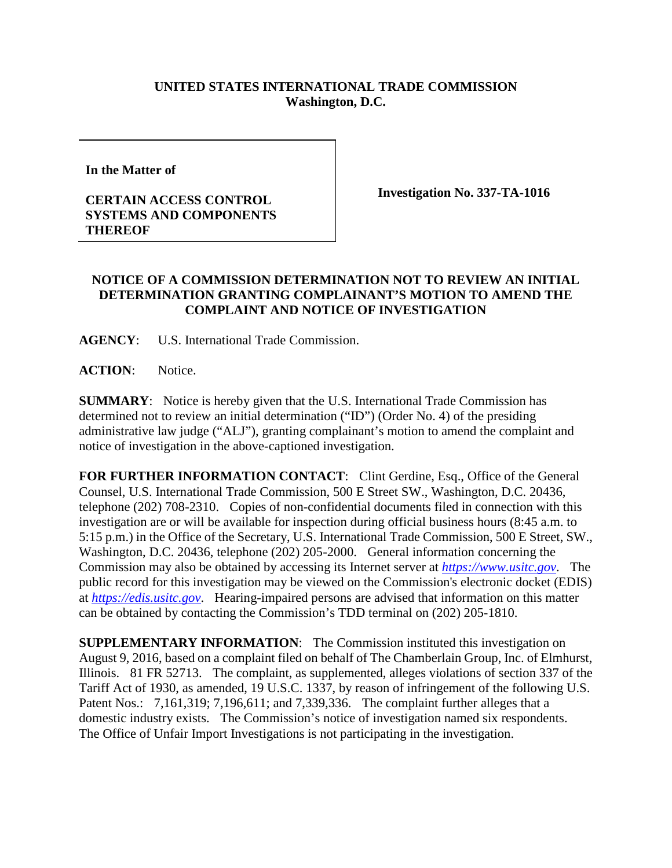## **UNITED STATES INTERNATIONAL TRADE COMMISSION Washington, D.C.**

**In the Matter of** 

## **CERTAIN ACCESS CONTROL SYSTEMS AND COMPONENTS THEREOF**

**Investigation No. 337-TA-1016**

## **NOTICE OF A COMMISSION DETERMINATION NOT TO REVIEW AN INITIAL DETERMINATION GRANTING COMPLAINANT'S MOTION TO AMEND THE COMPLAINT AND NOTICE OF INVESTIGATION**

**AGENCY**: U.S. International Trade Commission.

**ACTION**: Notice.

**SUMMARY**: Notice is hereby given that the U.S. International Trade Commission has determined not to review an initial determination ("ID") (Order No. 4) of the presiding administrative law judge ("ALJ"), granting complainant's motion to amend the complaint and notice of investigation in the above-captioned investigation.

FOR FURTHER INFORMATION CONTACT: Clint Gerdine, Esq., Office of the General Counsel, U.S. International Trade Commission, 500 E Street SW., Washington, D.C. 20436, telephone (202) 708-2310. Copies of non-confidential documents filed in connection with this investigation are or will be available for inspection during official business hours (8:45 a.m. to 5:15 p.m.) in the Office of the Secretary, U.S. International Trade Commission, 500 E Street, SW., Washington, D.C. 20436, telephone (202) 205-2000. General information concerning the Commission may also be obtained by accessing its Internet server at *[https://www.usitc.gov](https://www.usitc.gov/)*. The public record for this investigation may be viewed on the Commission's electronic docket (EDIS) at *[https://edis.usitc.gov](https://edis.usitc.gov/)*. Hearing-impaired persons are advised that information on this matter can be obtained by contacting the Commission's TDD terminal on (202) 205-1810.

**SUPPLEMENTARY INFORMATION**: The Commission instituted this investigation on August 9, 2016, based on a complaint filed on behalf of The Chamberlain Group, Inc. of Elmhurst, Illinois. 81 FR 52713. The complaint, as supplemented, alleges violations of section 337 of the Tariff Act of 1930, as amended, 19 U.S.C. 1337, by reason of infringement of the following U.S. Patent Nos.: 7,161,319; 7,196,611; and 7,339,336. The complaint further alleges that a domestic industry exists. The Commission's notice of investigation named six respondents. The Office of Unfair Import Investigations is not participating in the investigation.